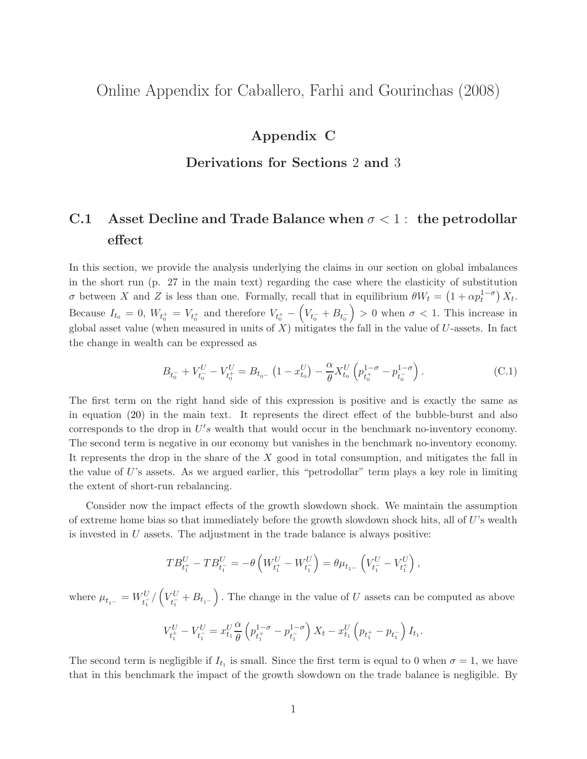## Online Appendix for Caballero, Farhi and Gourinchas (2008)

## Appendix C

#### Derivations for Sections 2 and 3

# C.1 Asset Decline and Trade Balance when  $\sigma < 1$ : the petrodollar effect

In this section, we provide the analysis underlying the claims in our section on global imbalances in the short run (p. 27 in the main text) regarding the case where the elasticity of substitution σ between X and Z is less than one. Formally, recall that in equilibrium  $θW_t = (1 + \alpha p_t^{1-\sigma}) X_t$ . Because  $I_{t_0} = 0$ ,  $W_{t_0^+} = V_{t_0^+}$  and therefore  $V_{t_0^+} - (V_{t_0^-} + B_{t_0^-})$  $\left( \begin{array}{l}\n > 0 \end{array} \right)$  when  $\sigma < 1$ . This increase in global asset value (when measured in units of  $X$ ) mitigates the fall in the value of  $U$ -assets. In fact the change in wealth can be expressed as

$$
B_{t_0^-} + V_{t_0^-}^U - V_{t_0^+}^U = B_{t_0^-} \left( 1 - x_{t_0}^U \right) - \frac{\alpha}{\theta} X_{t_0}^U \left( p_{t_0^+}^{1-\sigma} - p_{t_0^-}^{1-\sigma} \right). \tag{C.1}
$$

The first term on the right hand side of this expression is positive and is exactly the same as in equation [\(20\)](#page--1-0) in the main text. It represents the direct effect of the bubble-burst and also corresponds to the drop in  $U's$  wealth that would occur in the benchmark no-inventory economy. The second term is negative in our economy but vanishes in the benchmark no-inventory economy. It represents the drop in the share of the X good in total consumption, and mitigates the fall in the value of  $U$ 's assets. As we argued earlier, this "petrodollar" term plays a key role in limiting the extent of short-run rebalancing.

Consider now the impact effects of the growth slowdown shock. We maintain the assumption of extreme home bias so that immediately before the growth slowdown shock hits, all of  $U$ 's wealth is invested in  $U$  assets. The adjustment in the trade balance is always positive:

$$
TB_{t_1^+}^U - TB_{t_1^-}^U = -\theta \left( W_{t_1^+}^U - W_{t_1^-}^U \right) = \theta \mu_{t_1^-} \left( V_{t_1^-}^U - V_{t_1^+}^U \right),
$$

where  $\mu_{t_{\scriptscriptstyle 1^-}} = W_{t_{\scriptscriptstyle 1}^-}^U/\left(V_{t_{\scriptscriptstyle 1}^-}^U\right)$  $\left( \frac{tU}{t_1} + B_{t_1 -} \right)$ . The change in the value of U assets can be computed as above

$$
V_{t_1^+}^U - V_{t_1^-}^U = x_{t_1}^U \frac{\alpha}{\theta} \left( p_{t_1^+}^{1-\sigma} - p_{t_1^-}^{1-\sigma} \right) X_t - x_{t_1}^U \left( p_{t_1^+} - p_{t_1^-} \right) I_{t_1}.
$$

The second term is negligible if  $I_{t_1}$  is small. Since the first term is equal to 0 when  $\sigma = 1$ , we have that in this benchmark the impact of the growth slowdown on the trade balance is negligible. By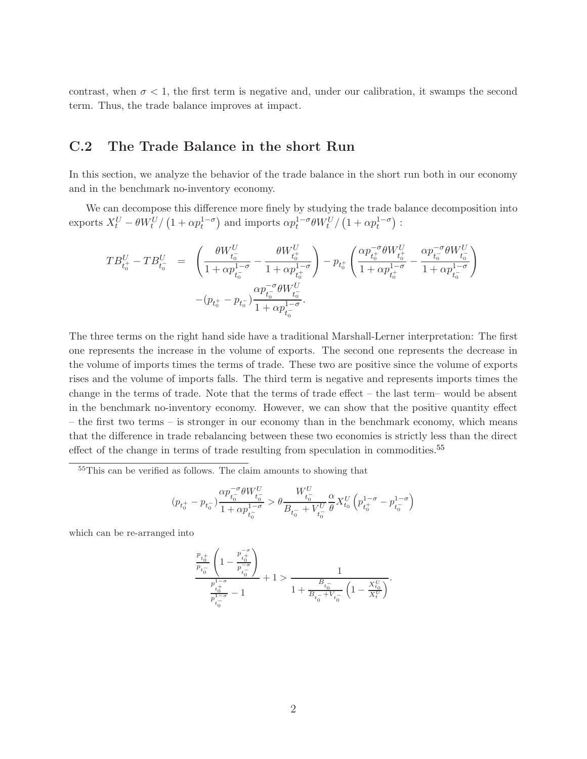contrast, when  $\sigma < 1$ , the first term is negative and, under our calibration, it swamps the second term. Thus, the trade balance improves at impact.

### C.2 The Trade Balance in the short Run

In this section, we analyze the behavior of the trade balance in the short run both in our economy and in the benchmark no-inventory economy.

We can decompose this difference more finely by studying the trade balance decomposition into exports  $X_t^U - \theta W_t^U / (1 + \alpha p_t^{1-\sigma})$  and imports  $\alpha p_t^{1-\sigma} \theta W_t^U / (1 + \alpha p_t^{1-\sigma})$ :

$$
\begin{array}{rcl} TB_{t_0^+}^U - TB_{t_0^-}^U & = & \left(\frac{\theta W_{t_0^-}^U}{1+\alpha p_{t_0^-}^{1-\sigma}} - \frac{\theta W_{t_0^+}^U}{1+\alpha p_{t_0^+}^{1-\sigma}}\right) - p_{t_0^+} \left(\frac{\alpha p_{t_0^+}^{-\sigma} \theta W_{t_0^+}^U}{1+\alpha p_{t_0^+}^{1-\sigma}} - \frac{\alpha p_{t_0^-}^{-\sigma} \theta W_{t_0^-}^U}{1+\alpha p_{t_0^-}^{1-\sigma}}\right) \\ & & \qquad - (p_{t_0^+} - p_{t_0^-}) \frac{\alpha p_{t_0^-}^{-\sigma} \theta W_{t_0^-}^U}{1+\alpha p_{t_0^-}^{1-\sigma}}. \end{array}
$$

The three terms on the right hand side have a traditional Marshall-Lerner interpretation: The first one represents the increase in the volume of exports. The second one represents the decrease in the volume of imports times the terms of trade. These two are positive since the volume of exports rises and the volume of imports falls. The third term is negative and represents imports times the change in the terms of trade. Note that the terms of trade effect – the last term– would be absent in the benchmark no-inventory economy. However, we can show that the positive quantity effect – the first two terms – is stronger in our economy than in the benchmark economy, which means that the difference in trade rebalancing between these two economies is strictly less than the direct effect of the change in terms of trade resulting from speculation in commodities.<sup>[55](#page-1-0)</sup>

<span id="page-1-0"></span><sup>55</sup>This can be verified as follows. The claim amounts to showing that

$$
(p_{t_0^+} - p_{t_0^-}) \frac{\alpha p_{t_0^-}^{-\sigma} \theta W_{t_0^-}^U}{1 + \alpha p_{t_0^-}^{1-\sigma}} > \theta \frac{W_{t_0^-}^U}{B_{t_0^-} + V_{t_0^-}^U} \frac{\alpha}{\theta} X_{t_0}^U \left( p_{t_0^+}^{1-\sigma} - p_{t_0^-}^{1-\sigma} \right)
$$

which can be re-arranged into

$$
\begin{split} \frac{\frac{p_{t_0^+}}{p_{t_0^-}}\left(1-\frac{p_{t_0^+}^{-\sigma}}{p_{t_0^-}^{-\sigma}}\right)}{\frac{p_{t_0^+}^{1-\sigma}}{p_{t_0^-}^{1-\sigma}}-1}+1>\frac{1}{1+\frac{B_{t_0^-}}{B_{t_0^-}+V_{t_0^-}}}\left(1-\frac{X_{t_0}^U}{X_t^U}\right)}. \end{split}
$$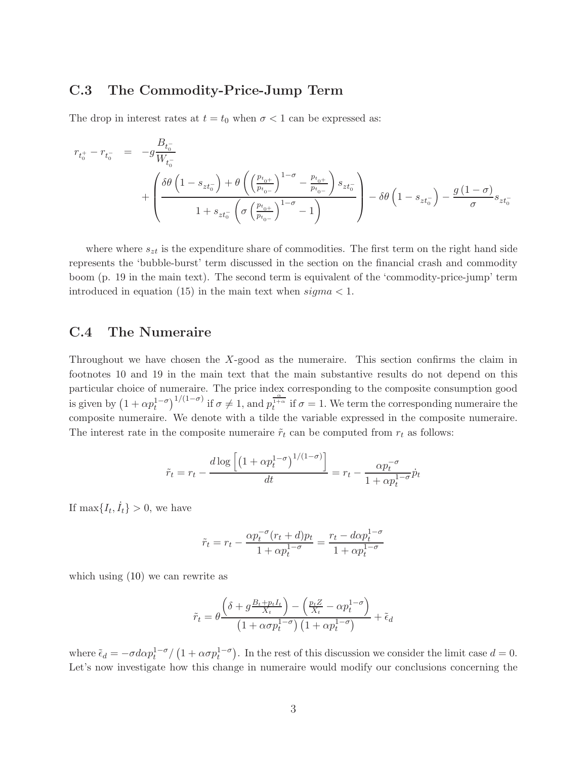#### C.3 The Commodity-Price-Jump Term

The drop in interest rates at  $t = t_0$  when  $\sigma < 1$  can be expressed as:

$$
r_{t_0^+} - r_{t_0^-} = -g \frac{B_{t_0^-}}{W_{t_0^-}} + \left(\frac{\delta \theta \left(1 - s_{zt_0^-}\right) + \theta \left(\left(\frac{p_{t_0+}}{p_{t_0-}}\right)^{1-\sigma} - \frac{p_{t_0+}}{p_{t_0-}}\right) s_{zt_0^-}}{1 + s_{zt_0^-} \left(\sigma \left(\frac{p_{t_0+}}{p_{t_0-}}\right)^{1-\sigma} - 1\right)}\right) - \delta \theta \left(1 - s_{zt_0^-}\right) - \frac{g\left(1 - \sigma\right)}{\sigma} s_{zt_0^-}
$$

where where  $s_{zt}$  is the expenditure share of commodities. The first term on the right hand side represents the 'bubble-burst' term discussed in the section on the financial crash and commodity boom (p. 19 in the main text). The second term is equivalent of the 'commodity-price-jump' term introduced in equation (15) in the main text when  $sigma < 1$ .

#### C.4 The Numeraire

Throughout we have chosen the  $X$ -good as the numeraire. This section confirms the claim in footnotes 10 and 19 in the main text that the main substantive results do not depend on this particular choice of numeraire. The price index corresponding to the composite consumption good is given by  $(1 + \alpha p_t^{1-\sigma})^{1/(1-\sigma)}$  if  $\sigma \neq 1$ , and  $p_t^{\frac{\alpha}{1+\alpha}}$  if  $\sigma = 1$ . We term the corresponding numeraire the composite numeraire. We denote with a tilde the variable expressed in the composite numeraire. The interest rate in the composite numeraire  $\tilde{r}_t$  can be computed from  $r_t$  as follows:

$$
\tilde{r}_t = r_t - \frac{d \log \left[ \left( 1 + \alpha p_t^{1-\sigma} \right)^{1/(1-\sigma)} \right]}{dt} = r_t - \frac{\alpha p_t^{-\sigma}}{1 + \alpha p_t^{1-\sigma}} \dot{p}_t
$$

If  $\max\{I_t, \dot{I}_t\} > 0$ , we have

$$
\tilde{r}_t = r_t - \frac{\alpha p_t^{-\sigma} (r_t + d) p_t}{1 + \alpha p_t^{1-\sigma}} = \frac{r_t - d \alpha p_t^{1-\sigma}}{1 + \alpha p_t^{1-\sigma}}
$$

which using [\(10\)](#page--1-1) we can rewrite as

$$
\tilde{r}_t = \theta \frac{\left(\delta + g \frac{B_t + p_t I_t}{X_t}\right) - \left(\frac{p_t Z}{X_t} - \alpha p_t^{1 - \sigma}\right)}{\left(1 + \alpha \sigma p_t^{1 - \sigma}\right)\left(1 + \alpha p_t^{1 - \sigma}\right)} + \tilde{\epsilon}_d
$$

where  $\tilde{\epsilon}_d = -\sigma d\alpha p_t^{1-\sigma}/(1+\alpha \sigma p_t^{1-\sigma})$ . In the rest of this discussion we consider the limit case  $d = 0$ . Let's now investigate how this change in numeraire would modify our conclusions concerning the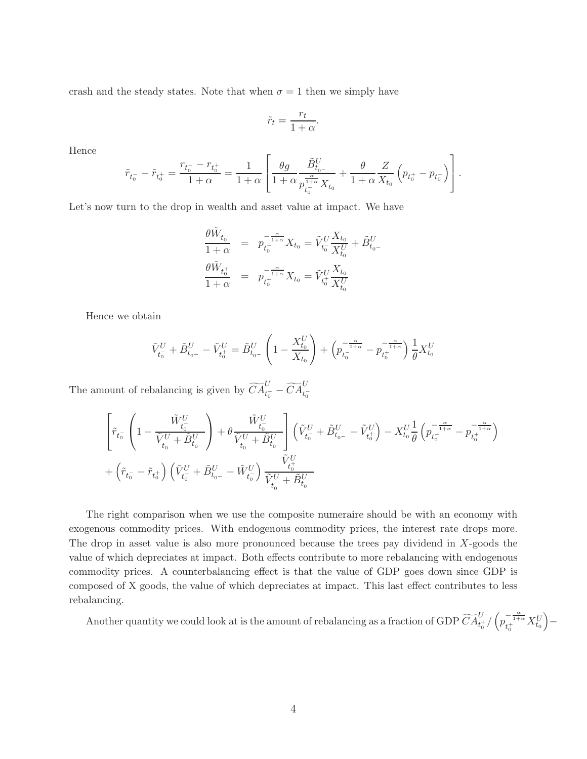crash and the steady states. Note that when  $\sigma = 1$  then we simply have

$$
\tilde{r}_t = \frac{r_t}{1 + \alpha}.
$$

Hence

$$
\tilde{r}_{t_0^-}-\tilde{r}_{t_0^+}=\frac{r_{t_0^-}-r_{t_0^+}}{1+\alpha}=\frac{1}{1+\alpha}\left[\frac{\theta g}{1+\alpha}\frac{\tilde{B}_{t_0-}^U}{p_{t_0^-}^{\frac{\alpha}{1+\alpha}}X_{t_0}}+\frac{\theta}{1+\alpha}\frac{Z}{X_{t_0}}\left(p_{t_0^+}-p_{t_0^-}\right)\right].
$$

Let's now turn to the drop in wealth and asset value at impact. We have

$$
\frac{\theta \tilde{W}_{t_0^-}}{1+\alpha} = p_{t_0^-}^{-\frac{\alpha}{1+\alpha}} X_{t_0} = \tilde{V}_{t_0^-}^U \frac{X_{t_0}}{X_{t_0}^U} + \tilde{B}_{t_0^-}^U
$$
  

$$
\frac{\theta \tilde{W}_{t_0^+}}{1+\alpha} = p_{t_0^+}^{-\frac{\alpha}{1+\alpha}} X_{t_0} = \tilde{V}_{t_0^+}^U \frac{X_{t_0}}{X_{t_0}^U}
$$

Hence we obtain

$$
\tilde{V}_{t_0}^U + \tilde{B}_{t_0-}^U - \tilde{V}_{t_0^+}^U = \tilde{B}_{t_0-}^U \left( 1 - \frac{X_{t_0}^U}{X_{t_0}} \right) + \left( p_{t_0}^{-\frac{\alpha}{1+\alpha}} - p_{t_0^+}^{-\frac{\alpha}{1+\alpha}} \right) \frac{1}{\theta} X_{t_0}^U
$$

The amount of rebalancing is given by  $\widetilde{CA}^U_{t_0^+} - \widetilde{CA}^U_{t_0^-}$ 

$$
\begin{aligned} &\left[ \tilde{r}_{t_0^-} \left(1-\frac{\tilde{W}_{t_0^-}^U}{\tilde{V}_{t_0^-}^U+\tilde{B}_{t_0-}^U}\right) + \theta \frac{\tilde{W}_{t_0^-}^U}{\tilde{V}_{t_0^-}^U+\tilde{B}_{t_0-}^U} \right] \left(\tilde{V}_{t_0^-}^U+\tilde{B}_{t_0-}^U-\tilde{V}_{t_0^+}^U\right) -X_{t_0}^U \frac{1}{\theta} \left(p_{t_0^-}^{-\frac{\alpha}{1+\alpha}}-p_{t_0^+}^{-\frac{\alpha}{1+\alpha}}\right) \right.\\ &\left. + \left(\tilde{r}_{t_0^-}-\tilde{r}_{t_0^+}\right) \left(\tilde{V}_{t_0^-}^U+\tilde{B}_{t_0-}^U-\tilde{W}_{t_0^-}^U\right) \frac{\tilde{V}_{t_0^+}^U}{\tilde{V}_{t_0^-}^U+\tilde{B}_{t_0-}^U} \right. \end{aligned}
$$

The right comparison when we use the composite numeraire should be with an economy with exogenous commodity prices. With endogenous commodity prices, the interest rate drops more. The drop in asset value is also more pronounced because the trees pay dividend in X-goods the value of which depreciates at impact. Both effects contribute to more rebalancing with endogenous commodity prices. A counterbalancing effect is that the value of GDP goes down since GDP is composed of X goods, the value of which depreciates at impact. This last effect contributes to less rebalancing.

Another quantity we could look at is the amount of rebalancing as a fraction of GDP  $\widetilde{CA}^{U}_{t_0^+}/\left(p_{t_0^+}^{-\frac{\alpha}{1+\alpha}}X^{U}_{t_0}\right)$  $)$  –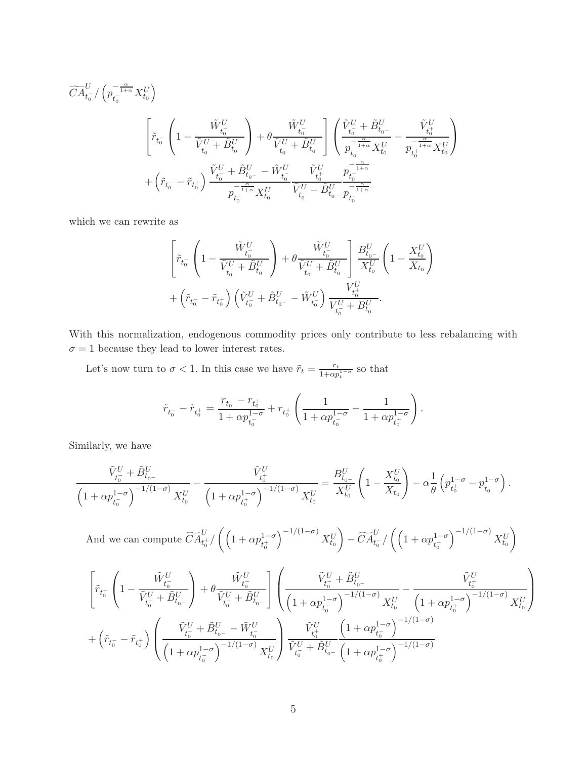$$
\begin{split} \widetilde{CA}^{U}_{t_{0}^{-}}/\left(p_{t_{0}^{-}}^{-\frac{\alpha}{1+\alpha}}X^{U}_{t_{0}}\right) \\ \begin{split} \left[\tilde{r}_{t_{0}^{-}}\left(1-\frac{\tilde{W}_{t_{0}^{-}}^{U}}{\tilde{V}_{t_{0}^{-}}^{U}+\tilde{B}_{t_{0-}}^{U}}\right)+\theta\frac{\tilde{W}_{t_{0}^{-}}^{U}}{\tilde{V}_{t_{0}^{-}}^{U}+\tilde{B}_{t_{0-}}^{U}}\right]\left(\frac{\tilde{V}_{t_{0}^{-}}^{U}+\tilde{B}_{t_{0-}}^{U}}{p_{t_{0}^{-}}^{-\frac{\alpha}{1+\alpha}}X^{U}_{t_{0}}}-\frac{\tilde{V}_{t_{0}^{U}}^{U}}{p_{t_{0}^{-}}^{-\frac{\alpha}{1+\alpha}}X^{U}_{t_{0}}}\right) \\ +\left(\tilde{r}_{t_{0}^{-}}-\tilde{r}_{t_{0}^{+}}\right)\frac{\tilde{V}_{t_{0}^{-}}^{U}+\tilde{B}_{t_{0-}}^{U}-\tilde{W}_{t_{0}^{-}}^{U}}{p_{t_{0}^{-}}^{-\frac{\alpha}{1+\alpha}}X^{U}_{t_{0}}}\frac{\tilde{V}_{t_{0}^{U}}^{U}}{\tilde{V}_{t_{0}^{-}}^{U}+\tilde{B}_{t_{0-}}^{U}}\frac{p_{t_{0}^{-}}^{-\frac{\alpha}{1+\alpha}}}{p_{t_{0}^{+}}^{-\frac{\alpha}{1+\alpha}}} \end{split}
$$

which we can rewrite as

$$
\begin{aligned} &\left[ \tilde{r}_{t_{0}^{-}}\left(1-\frac{\tilde{W}_{t_{0}^{-}}^{U}}{\tilde{V}_{t_{0}^{-}}^{U}+\tilde{B}_{t_{0-}}^{U}}\right)+\theta\frac{\tilde{W}_{t_{0}^{-}}^{U}}{\tilde{V}_{t_{0}^{-}}^{U}+\tilde{B}_{t_{0-}}^{U}}\right]\frac{B_{t_{0-}}^{U}}{X_{t_{0}}^{U}}\left(1-\frac{X_{t_{0}}^{U}}{X_{t_{0}}}\right)\\ &+\left(\tilde{r}_{t_{0}^{-}}-\tilde{r}_{t_{0}^{+}}\right)\left(\tilde{V}_{t_{0}^{-}}^{U}+\tilde{B}_{t_{0-}}^{U}-\tilde{W}_{t_{0}^{-}}^{U}\right)\frac{V_{t_{0}^{+}}^{U}}{V_{t_{0}^{-}}^{U}+B_{t_{0-}}^{U}}. \end{aligned}
$$

With this normalization, endogenous commodity prices only contribute to less rebalancing with  $\sigma=1$  because they lead to lower interest rates.

Let's now turn to  $\sigma < 1$ . In this case we have  $\tilde{r}_t = \frac{r_t}{1+\alpha r}$  $\frac{r_t}{1+\alpha p_t^{1-\sigma}}$  so that

$$
\tilde{r}_{t_0^-} - \tilde{r}_{t_0^+} = \frac{r_{t_0^-} - r_{t_0^+}}{1 + \alpha p_{t_0^-}^{1 - \sigma}} + r_{t_0^+} \left( \frac{1}{1 + \alpha p_{t_0^-}^{1 - \sigma}} - \frac{1}{1 + \alpha p_{t_0^+}^{1 - \sigma}} \right).
$$

Similarly, we have

$$
\frac{\tilde{V}_{t_0}^U + \tilde{B}_{t_0-}^U}{\left(1 + \alpha p_{t_0}^{1-\sigma}\right)^{-1/(1-\sigma)} X_{t_0}^U} - \frac{\tilde{V}_{t_0^L}^U}{\left(1 + \alpha p_{t_0^+}^{1-\sigma}\right)^{-1/(1-\sigma)} X_{t_0}^U} = \frac{B_{t_0-}^U}{X_{t_0}^U} \left(1 - \frac{X_{t_0}^U}{X_{t_0}}\right) - \alpha \frac{1}{\theta} \left(p_{t_0^+}^{1-\sigma} - p_{t_0^-}^{1-\sigma}\right).
$$

And we can compute  $\widetilde{CA}^U_{t_0^+}/\left(\left(1+\alpha p_{t_0^+}^{1-\sigma}\right)$  $\int^{-1/(1-\sigma)} X_{t_0}^U$  $\bigg) - \widetilde{CA}^{U}_{t_0^-} / \left( \Big( 1 + \alpha p^{1-\sigma}_{t_0^-} \right.$  $\int^{-1/(1-\sigma)} X_{t_0}^U$  $\setminus$ 

$$
\begin{aligned} &\left[ \tilde{r}_{t_0^-} \left(1-\frac{\tilde{W}_{t_0^-}^U}{\tilde{V}_{t_0^-}^U+\tilde{B}_{t_0-}^U}\right) + \theta \frac{\tilde{W}_{t_0^-}^U}{\tilde{V}_{t_0^-}^U+\tilde{B}_{t_0-}^U} \right] \left(\frac{\tilde{V}_{t_0^-}^U+\tilde{B}_{t_0-}^U}{\left(1+\alpha p_{t_0^-}^{1-\sigma}\right)^{-1/(1-\sigma)}X_{t_0}^U} - \frac{\tilde{V}_{t_0^+}^U}{\left(1+\alpha p_{t_0^+}^{1-\sigma}\right)^{-1/(1-\sigma)}X_{t_0}^U}\right) \right. \\ & \left. + \left(\tilde{r}_{t_0^-}-\tilde{r}_{t_0^+}\right) \left(\frac{\tilde{V}_{t_0^-}^U+\tilde{B}_{t_0-}^U-\tilde{W}_{t_0^-}^U}{\left(1+\alpha p_{t_0^-}^{1-\sigma}\right)^{-1/(1-\sigma)}X_{t_0}^U} \right) \frac{\tilde{V}_{t_0^+}^U}{\tilde{V}_{t_0^+}^U+\tilde{B}_{t_0-}^U} \left(1+\alpha p_{t_0^+}^{1-\sigma}\right)^{-1/(1-\sigma)} \\ & \left(1+\alpha p_{t_0^+}^{1-\sigma}\right)^{-1/(1-\sigma)}X_{t_0}^U \left(1+\alpha p_{t_0^+}^{1-\sigma}\right)^{-1/(1-\sigma)} \end{aligned}
$$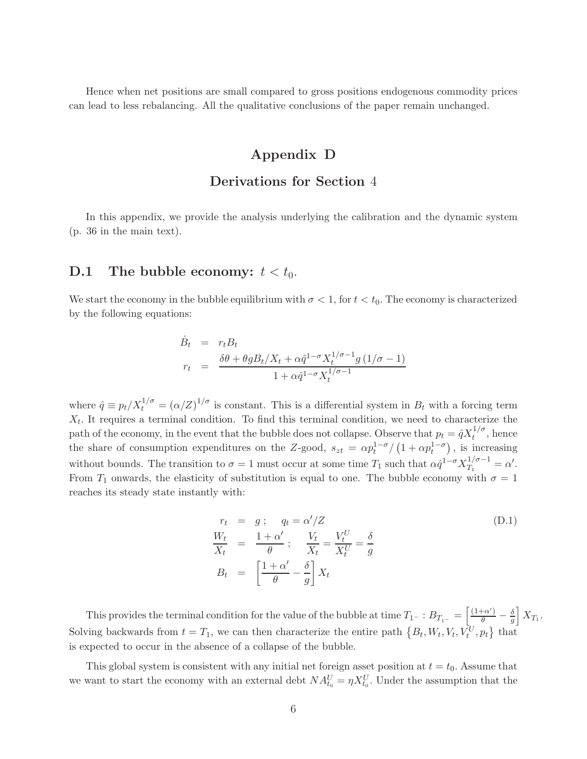Hence when net positions are small compared to gross positions endogenous commodity prices can lead to less rebalancing. All the qualitative conclusions of the paper remain unchanged.

## Appendix D

#### Derivations for Section 4

In this appendix, we provide the analysis underlying the calibration and the dynamic system (p. 36 in the main text).

#### **D.1** The bubble economy:  $t < t_0$ .

We start the economy in the bubble equilibrium with  $\sigma < 1$ , for  $t < t_0$ . The economy is characterized by the following equations:

$$
\dot{B}_t = r_t B_t
$$
\n
$$
r_t = \frac{\delta \theta + \theta g B_t / X_t + \alpha \hat{q}^{1-\sigma} X_t^{1/\sigma - 1} g (1/\sigma - 1)}{1 + \alpha \hat{q}^{1-\sigma} X_t^{1/\sigma - 1}}
$$

where  $\hat{q} \equiv p_t/X_t^{1/\sigma} = (\alpha/Z)^{1/\sigma}$  is constant. This is a differential system in  $B_t$  with a forcing term  $X_t$ . It requires a terminal condition. To find this terminal condition, we need to characterize the path of the economy, in the event that the bubble does not collapse. Observe that  $p_t = \hat{q} X_t^{1/\sigma}$ , hence the share of consumption expenditures on the Z-good,  $s_{zt} = \alpha p_t^{1-\sigma}/(1 + \alpha p_t^{1-\sigma})$ , is increasing without bounds. The transition to  $\sigma = 1$  must occur at some time  $T_1$  such that  $\alpha \hat{q}^{1-\sigma} X_{T_1}^{1/\sigma-1}$  $T_1^{1/\sigma-1} = \alpha'.$ From  $T_1$  onwards, the elasticity of substitution is equal to one. The bubble economy with  $\sigma = 1$ reaches its steady state instantly with:

$$
r_t = g; \quad q_t = \alpha'/Z
$$
  
\n
$$
\frac{W_t}{X_t} = \frac{1+\alpha'}{\theta}; \quad \frac{V_t}{X_t} = \frac{V_t^U}{X_t^U} = \frac{\delta}{g}
$$
  
\n
$$
B_t = \left[\frac{1+\alpha'}{\theta} - \frac{\delta}{g}\right]X_t
$$
\n(D.1)

This provides the terminal condition for the value of the bubble at time  $T_{1}$ - :  $B_{T_{1-}} = \left[\frac{(1+\alpha')}{\theta} - \frac{\delta}{g}\right]$ g  $\bigg\vert X_{T_1}.$ Solving backwards from  $t = T_1$ , we can then characterize the entire path  $\{B_t, W_t, V_t, V_t^U, p_t\}$  that is expected to occur in the absence of a collapse of the bubble.

This global system is consistent with any initial net foreign asset position at  $t = t_0$ . Assume that we want to start the economy with an external debt  $NA_{t_0}^U = \eta X_{t_0}^U$ . Under the assumption that the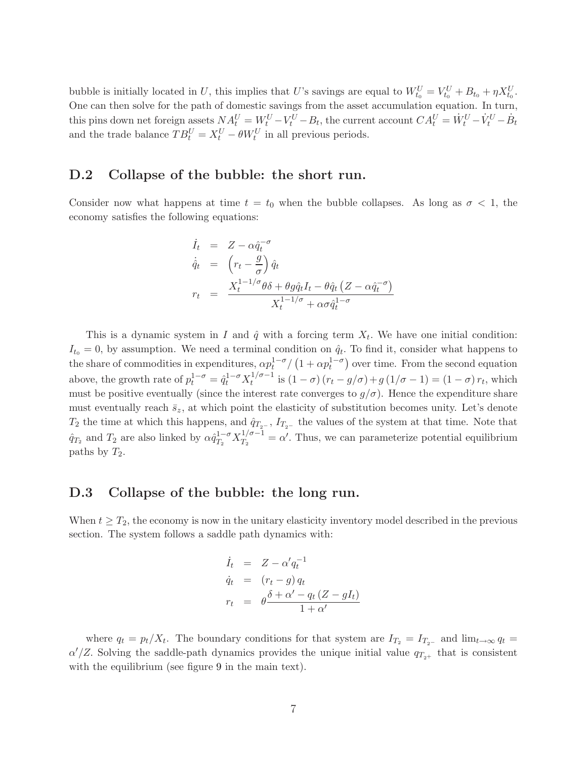bubble is initially located in U, this implies that U's savings are equal to  $W_{t_0}^U = V_{t_0}^U + B_{t_0} + \eta X_{t_0}^U$ . One can then solve for the path of domestic savings from the asset accumulation equation. In turn, this pins down net foreign assets  $NA_t^U = W_t^U - V_t^U - B_t$ , the current account  $CA_t^U = \dot{W}_t^U - \dot{V}_t^U - \dot{B}_t$ and the trade balance  $TB_t^U = X_t^U - \theta W_t^U$  in all previous periods.

#### D.2 Collapse of the bubble: the short run.

Consider now what happens at time  $t = t_0$  when the bubble collapses. As long as  $\sigma < 1$ , the economy satisfies the following equations:

$$
\dot{I}_t = Z - \alpha \hat{q}_t^{-\sigma}
$$
\n
$$
\dot{\hat{q}}_t = \left(r_t - \frac{g}{\sigma}\right) \hat{q}_t
$$
\n
$$
r_t = \frac{X_t^{1-1/\sigma} \theta \delta + \theta g \hat{q}_t I_t - \theta \hat{q}_t (Z - \alpha \hat{q}_t^{-\sigma})}{X_t^{1-1/\sigma} + \alpha \sigma \hat{q}_t^{1-\sigma}}
$$

This is a dynamic system in I and  $\hat{q}$  with a forcing term  $X_t$ . We have one initial condition:  $I_{t_0} = 0$ , by assumption. We need a terminal condition on  $\hat{q}_t$ . To find it, consider what happens to the share of commodities in expenditures,  $\alpha p_t^{1-\sigma}/(1+\alpha p_t^{1-\sigma})$  over time. From the second equation above, the growth rate of  $p_t^{1-\sigma} = \hat{q}_t^{1-\sigma} X_t^{1/\sigma-1}$  $t_{t}^{1/\sigma-1}$  is  $(1-\sigma)(r_t-g/\sigma)+g(1/\sigma-1)=(1-\sigma)r_t$ , which must be positive eventually (since the interest rate converges to  $g/\sigma$ ). Hence the expenditure share must eventually reach  $\bar{s}_z$ , at which point the elasticity of substitution becomes unity. Let's denote  $T_2$  the time at which this happens, and  $\hat{q}_{T_2-}$ ,  $I_{T_2-}$  the values of the system at that time. Note that  $\hat{q}_{T_2}$  and  $T_2$  are also linked by  $\alpha \hat{q}_{T_2}^{1-\sigma} X_{T_2}^{1/\sigma-1}$  $T_2^{1/\sigma-1} = \alpha'$ . Thus, we can parameterize potential equilibrium paths by  $T_2$ .

#### D.3 Collapse of the bubble: the long run.

When  $t \geq T_2$ , the economy is now in the unitary elasticity inventory model described in the previous section. The system follows a saddle path dynamics with:

$$
\dot{I}_t = Z - \alpha' q_t^{-1}
$$
\n
$$
\dot{q}_t = (r_t - g) q_t
$$
\n
$$
r_t = \theta \frac{\delta + \alpha' - q_t (Z - g I_t)}{1 + \alpha'}
$$

where  $q_t = p_t/X_t$ . The boundary conditions for that system are  $I_{T_2} = I_{T_{2-}}$  and  $\lim_{t\to\infty} q_t =$  $\alpha'/Z$ . Solving the saddle-path dynamics provides the unique initial value  $q_{T_{2+}}$  that is consistent with the equilibrium (see figure [9](#page--1-2) in the main text).